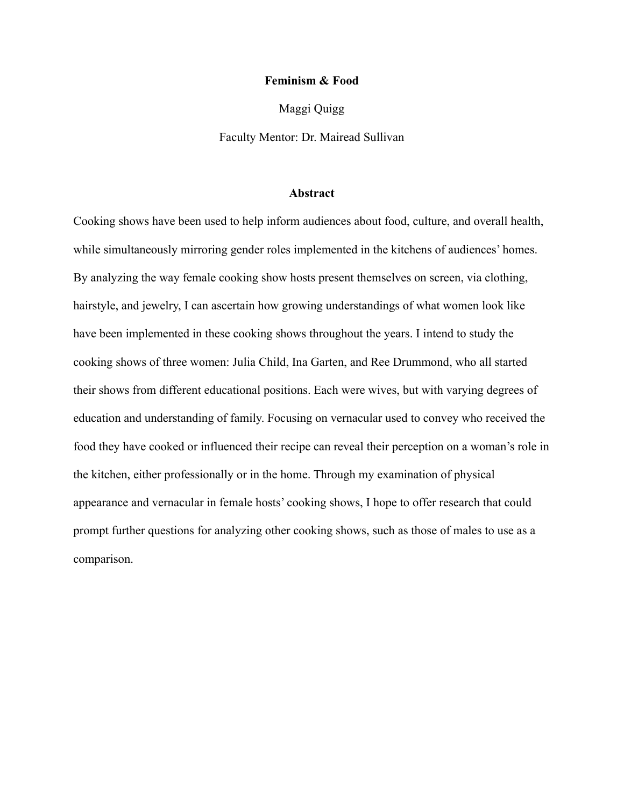### **Feminism & Food**

Maggi Quigg

Faculty Mentor: Dr. Mairead Sullivan

### **Abstract**

Cooking shows have been used to help inform audiences about food, culture, and overall health, while simultaneously mirroring gender roles implemented in the kitchens of audiences' homes. By analyzing the way female cooking show hosts present themselves on screen, via clothing, hairstyle, and jewelry, I can ascertain how growing understandings of what women look like have been implemented in these cooking shows throughout the years. I intend to study the cooking shows of three women: Julia Child, Ina Garten, and Ree Drummond, who all started their shows from different educational positions. Each were wives, but with varying degrees of education and understanding of family. Focusing on vernacular used to convey who received the food they have cooked or influenced their recipe can reveal their perception on a woman's role in the kitchen, either professionally or in the home. Through my examination of physical appearance and vernacular in female hosts' cooking shows, I hope to offer research that could prompt further questions for analyzing other cooking shows, such as those of males to use as a comparison.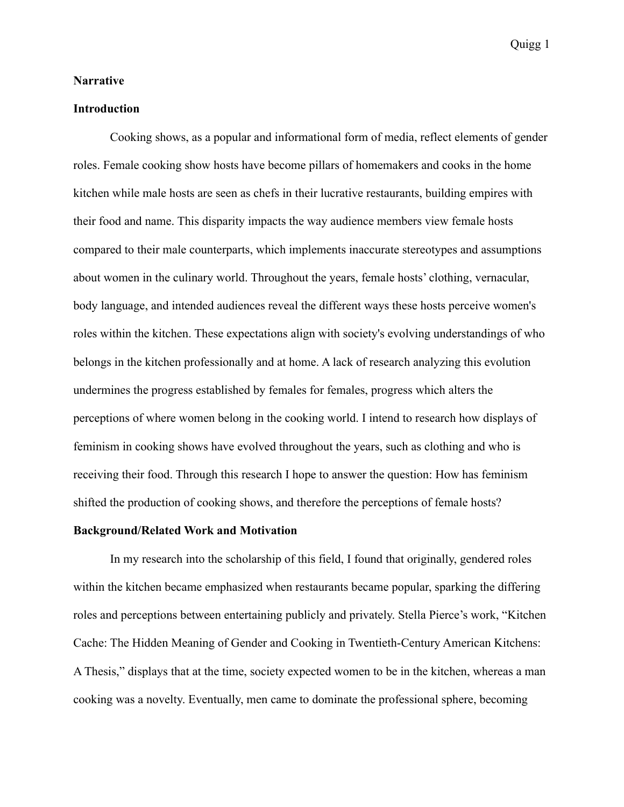### **Narrative**

## **Introduction**

Cooking shows, as a popular and informational form of media, reflect elements of gender roles. Female cooking show hosts have become pillars of homemakers and cooks in the home kitchen while male hosts are seen as chefs in their lucrative restaurants, building empires with their food and name. This disparity impacts the way audience members view female hosts compared to their male counterparts, which implements inaccurate stereotypes and assumptions about women in the culinary world. Throughout the years, female hosts' clothing, vernacular, body language, and intended audiences reveal the different ways these hosts perceive women's roles within the kitchen. These expectations align with society's evolving understandings of who belongs in the kitchen professionally and at home. A lack of research analyzing this evolution undermines the progress established by females for females, progress which alters the perceptions of where women belong in the cooking world. I intend to research how displays of feminism in cooking shows have evolved throughout the years, such as clothing and who is receiving their food. Through this research I hope to answer the question: How has feminism shifted the production of cooking shows, and therefore the perceptions of female hosts?

### **Background/Related Work and Motivation**

In my research into the scholarship of this field, I found that originally, gendered roles within the kitchen became emphasized when restaurants became popular, sparking the differing roles and perceptions between entertaining publicly and privately. Stella Pierce's work, "Kitchen Cache: The Hidden Meaning of Gender and Cooking in Twentieth-Century American Kitchens: A Thesis," displays that at the time, society expected women to be in the kitchen, whereas a man cooking was a novelty. Eventually, men came to dominate the professional sphere, becoming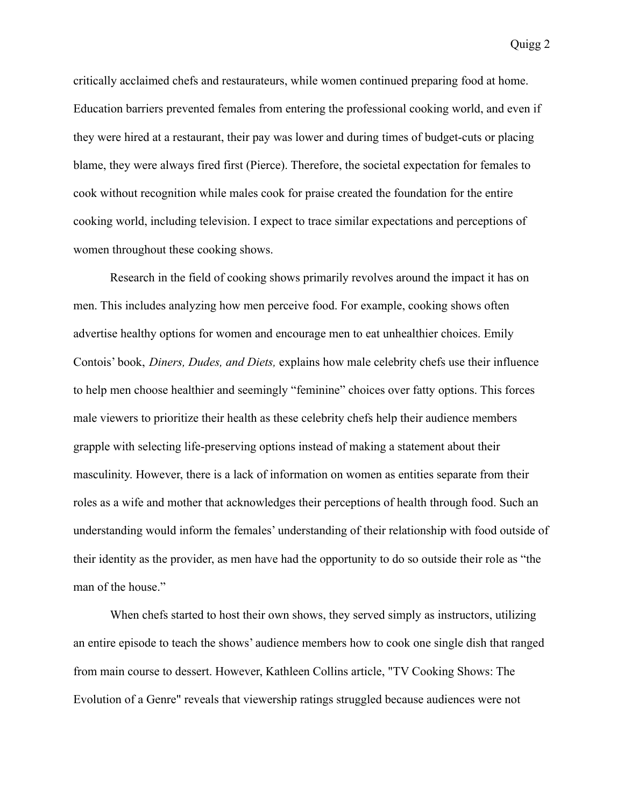critically acclaimed chefs and restaurateurs, while women continued preparing food at home. Education barriers prevented females from entering the professional cooking world, and even if they were hired at a restaurant, their pay was lower and during times of budget-cuts or placing blame, they were always fired first (Pierce). Therefore, the societal expectation for females to cook without recognition while males cook for praise created the foundation for the entire cooking world, including television. I expect to trace similar expectations and perceptions of women throughout these cooking shows.

Research in the field of cooking shows primarily revolves around the impact it has on men. This includes analyzing how men perceive food. For example, cooking shows often advertise healthy options for women and encourage men to eat unhealthier choices. Emily Contois' book, *Diners, Dudes, and Diets,* explains how male celebrity chefs use their influence to help men choose healthier and seemingly "feminine" choices over fatty options. This forces male viewers to prioritize their health as these celebrity chefs help their audience members grapple with selecting life-preserving options instead of making a statement about their masculinity. However, there is a lack of information on women as entities separate from their roles as a wife and mother that acknowledges their perceptions of health through food. Such an understanding would inform the females' understanding of their relationship with food outside of their identity as the provider, as men have had the opportunity to do so outside their role as "the man of the house."

When chefs started to host their own shows, they served simply as instructors, utilizing an entire episode to teach the shows' audience members how to cook one single dish that ranged from main course to dessert. However, Kathleen Collins article, "TV Cooking Shows: The Evolution of a Genre" reveals that viewership ratings struggled because audiences were not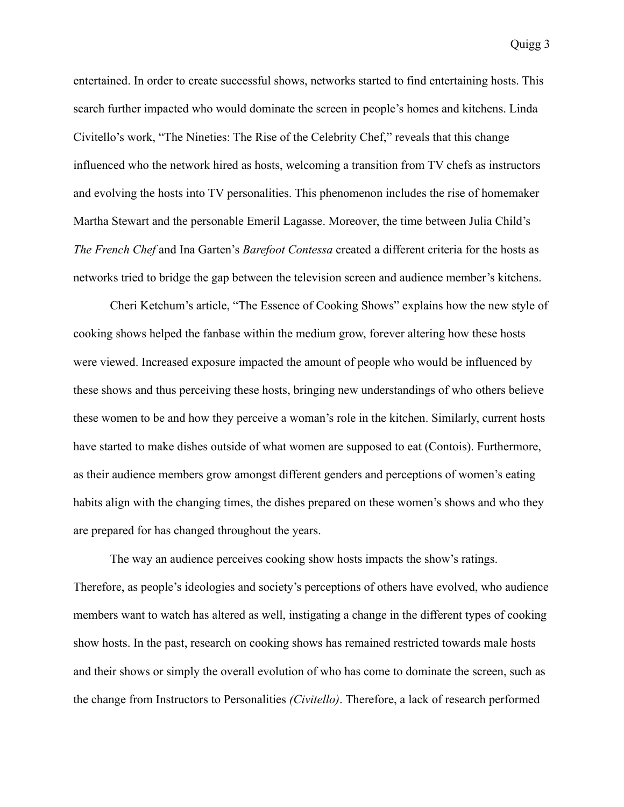entertained. In order to create successful shows, networks started to find entertaining hosts. This search further impacted who would dominate the screen in people's homes and kitchens. Linda Civitello's work, "The Nineties: The Rise of the Celebrity Chef," reveals that this change influenced who the network hired as hosts, welcoming a transition from TV chefs as instructors and evolving the hosts into TV personalities. This phenomenon includes the rise of homemaker Martha Stewart and the personable Emeril Lagasse. Moreover, the time between Julia Child's *The French Chef* and Ina Garten's *Barefoot Contessa* created a different criteria for the hosts as networks tried to bridge the gap between the television screen and audience member's kitchens.

Cheri Ketchum's article, "The Essence of Cooking Shows" explains how the new style of cooking shows helped the fanbase within the medium grow, forever altering how these hosts were viewed. Increased exposure impacted the amount of people who would be influenced by these shows and thus perceiving these hosts, bringing new understandings of who others believe these women to be and how they perceive a woman's role in the kitchen. Similarly, current hosts have started to make dishes outside of what women are supposed to eat (Contois). Furthermore, as their audience members grow amongst different genders and perceptions of women's eating habits align with the changing times, the dishes prepared on these women's shows and who they are prepared for has changed throughout the years.

The way an audience perceives cooking show hosts impacts the show's ratings. Therefore, as people's ideologies and society's perceptions of others have evolved, who audience members want to watch has altered as well, instigating a change in the different types of cooking show hosts. In the past, research on cooking shows has remained restricted towards male hosts and their shows or simply the overall evolution of who has come to dominate the screen, such as the change from Instructors to Personalities *(Civitello)*. Therefore, a lack of research performed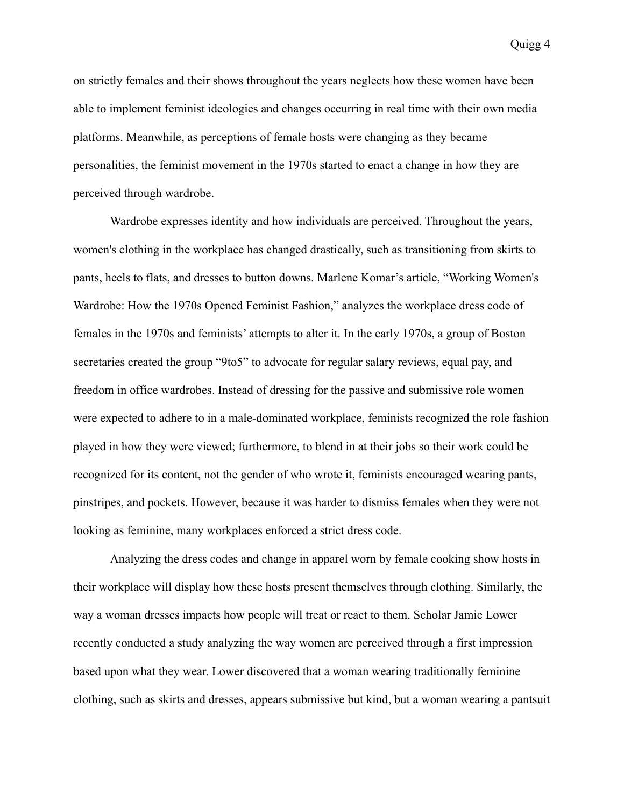on strictly females and their shows throughout the years neglects how these women have been able to implement feminist ideologies and changes occurring in real time with their own media platforms. Meanwhile, as perceptions of female hosts were changing as they became personalities, the feminist movement in the 1970s started to enact a change in how they are perceived through wardrobe.

Wardrobe expresses identity and how individuals are perceived. Throughout the years, women's clothing in the workplace has changed drastically, such as transitioning from skirts to pants, heels to flats, and dresses to button downs. Marlene Komar's article, "Working Women's Wardrobe: How the 1970s Opened Feminist Fashion," analyzes the workplace dress code of females in the 1970s and feminists' attempts to alter it. In the early 1970s, a group of Boston secretaries created the group "9to5" to advocate for regular salary reviews, equal pay, and freedom in office wardrobes. Instead of dressing for the passive and submissive role women were expected to adhere to in a male-dominated workplace, feminists recognized the role fashion played in how they were viewed; furthermore, to blend in at their jobs so their work could be recognized for its content, not the gender of who wrote it, feminists encouraged wearing pants, pinstripes, and pockets. However, because it was harder to dismiss females when they were not looking as feminine, many workplaces enforced a strict dress code.

Analyzing the dress codes and change in apparel worn by female cooking show hosts in their workplace will display how these hosts present themselves through clothing. Similarly, the way a woman dresses impacts how people will treat or react to them. Scholar Jamie Lower recently conducted a study analyzing the way women are perceived through a first impression based upon what they wear. Lower discovered that a woman wearing traditionally feminine clothing, such as skirts and dresses, appears submissive but kind, but a woman wearing a pantsuit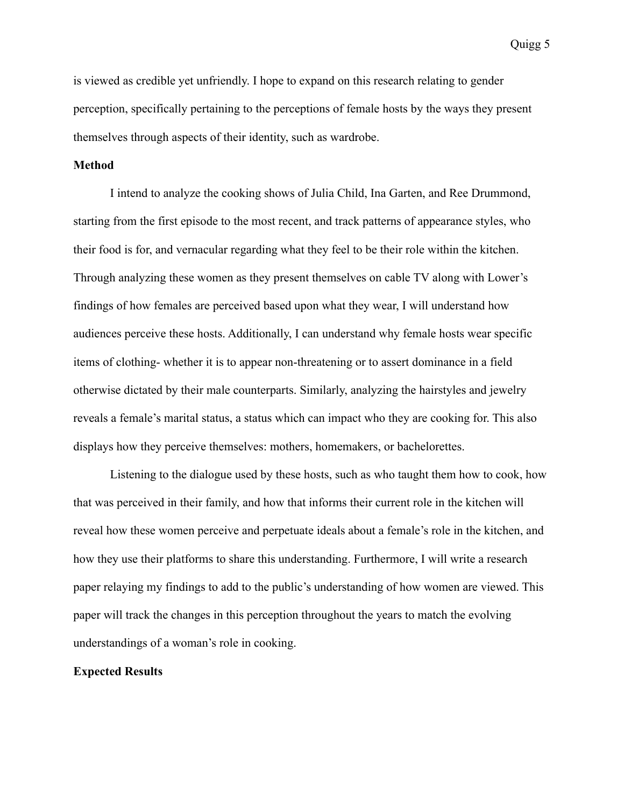is viewed as credible yet unfriendly. I hope to expand on this research relating to gender perception, specifically pertaining to the perceptions of female hosts by the ways they present themselves through aspects of their identity, such as wardrobe.

## **Method**

I intend to analyze the cooking shows of Julia Child, Ina Garten, and Ree Drummond, starting from the first episode to the most recent, and track patterns of appearance styles, who their food is for, and vernacular regarding what they feel to be their role within the kitchen. Through analyzing these women as they present themselves on cable TV along with Lower's findings of how females are perceived based upon what they wear, I will understand how audiences perceive these hosts. Additionally, I can understand why female hosts wear specific items of clothing- whether it is to appear non-threatening or to assert dominance in a field otherwise dictated by their male counterparts. Similarly, analyzing the hairstyles and jewelry reveals a female's marital status, a status which can impact who they are cooking for. This also displays how they perceive themselves: mothers, homemakers, or bachelorettes.

Listening to the dialogue used by these hosts, such as who taught them how to cook, how that was perceived in their family, and how that informs their current role in the kitchen will reveal how these women perceive and perpetuate ideals about a female's role in the kitchen, and how they use their platforms to share this understanding. Furthermore, I will write a research paper relaying my findings to add to the public's understanding of how women are viewed. This paper will track the changes in this perception throughout the years to match the evolving understandings of a woman's role in cooking.

### **Expected Results**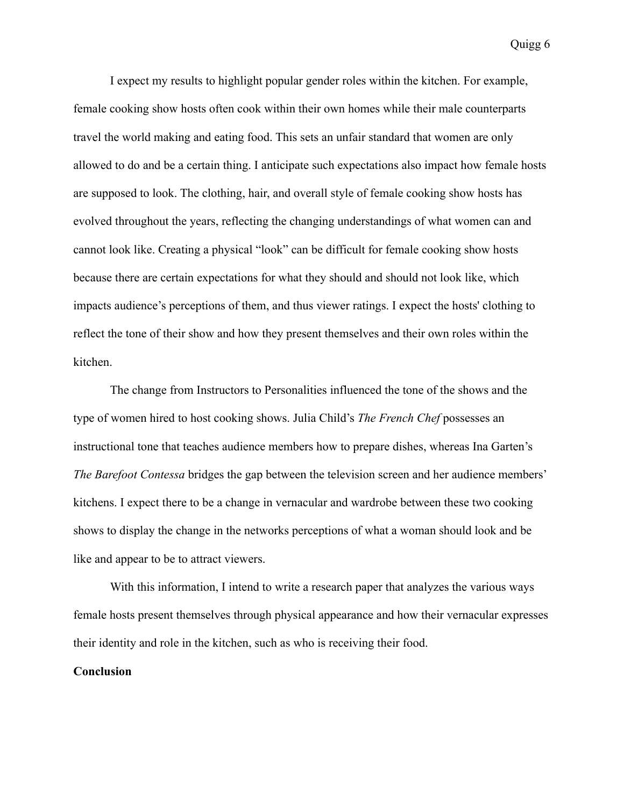I expect my results to highlight popular gender roles within the kitchen. For example, female cooking show hosts often cook within their own homes while their male counterparts travel the world making and eating food. This sets an unfair standard that women are only allowed to do and be a certain thing. I anticipate such expectations also impact how female hosts are supposed to look. The clothing, hair, and overall style of female cooking show hosts has evolved throughout the years, reflecting the changing understandings of what women can and cannot look like. Creating a physical "look" can be difficult for female cooking show hosts because there are certain expectations for what they should and should not look like, which impacts audience's perceptions of them, and thus viewer ratings. I expect the hosts' clothing to reflect the tone of their show and how they present themselves and their own roles within the kitchen.

The change from Instructors to Personalities influenced the tone of the shows and the type of women hired to host cooking shows. Julia Child's *The French Chef* possesses an instructional tone that teaches audience members how to prepare dishes, whereas Ina Garten's *The Barefoot Contessa* bridges the gap between the television screen and her audience members' kitchens. I expect there to be a change in vernacular and wardrobe between these two cooking shows to display the change in the networks perceptions of what a woman should look and be like and appear to be to attract viewers.

With this information, I intend to write a research paper that analyzes the various ways female hosts present themselves through physical appearance and how their vernacular expresses their identity and role in the kitchen, such as who is receiving their food.

### **Conclusion**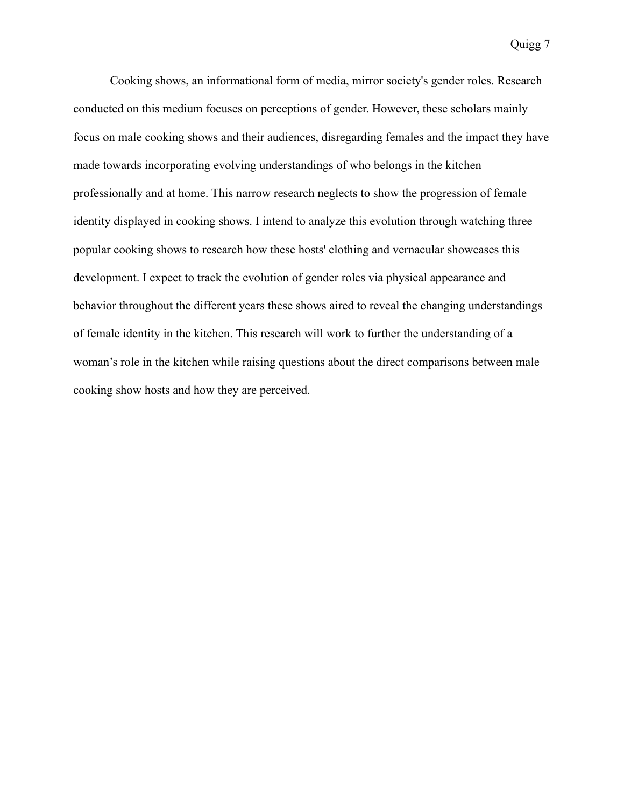Cooking shows, an informational form of media, mirror society's gender roles. Research conducted on this medium focuses on perceptions of gender. However, these scholars mainly focus on male cooking shows and their audiences, disregarding females and the impact they have made towards incorporating evolving understandings of who belongs in the kitchen professionally and at home. This narrow research neglects to show the progression of female identity displayed in cooking shows. I intend to analyze this evolution through watching three popular cooking shows to research how these hosts' clothing and vernacular showcases this development. I expect to track the evolution of gender roles via physical appearance and behavior throughout the different years these shows aired to reveal the changing understandings of female identity in the kitchen. This research will work to further the understanding of a woman's role in the kitchen while raising questions about the direct comparisons between male cooking show hosts and how they are perceived.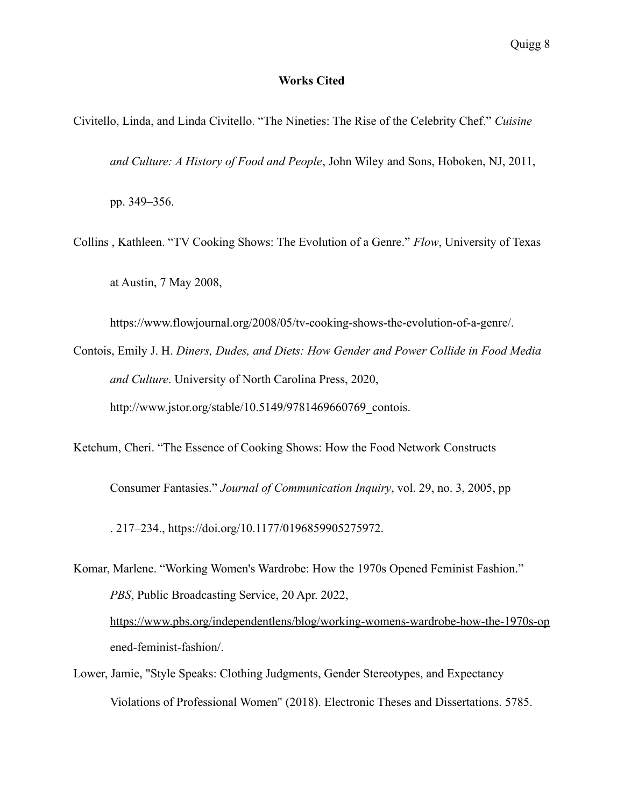### **Works Cited**

Civitello, Linda, and Linda Civitello. "The Nineties: The Rise of the Celebrity Chef." *Cuisine*

*and Culture: A History of Food and People*, John Wiley and Sons, Hoboken, NJ, 2011,

pp. 349–356.

Collins , Kathleen. "TV Cooking Shows: The Evolution of a Genre." *Flow*, University of Texas at Austin, 7 May 2008,

https://www.flowjournal.org/2008/05/tv-cooking-shows-the-evolution-of-a-genre/.

Contois, Emily J. H. *Diners, Dudes, and Diets: How Gender and Power Collide in Food Media and Culture*. University of North Carolina Press, 2020, http://www.jstor.org/stable/10.5149/9781469660769 contois.

Ketchum, Cheri. "The Essence of Cooking Shows: How the Food Network Constructs

Consumer Fantasies." *Journal of Communication Inquiry*, vol. 29, no. 3, 2005, pp

. 217–234., https://doi.org/10.1177/0196859905275972.

Komar, Marlene. "Working Women's Wardrobe: How the 1970s Opened Feminist Fashion." *PBS*, Public Broadcasting Service, 20 Apr. 2022, <https://www.pbs.org/independentlens/blog/working-womens-wardrobe-how-the-1970s-op> ened-feminist-fashion/.

Lower, Jamie, "Style Speaks: Clothing Judgments, Gender Stereotypes, and Expectancy Violations of Professional Women" (2018). Electronic Theses and Dissertations. 5785.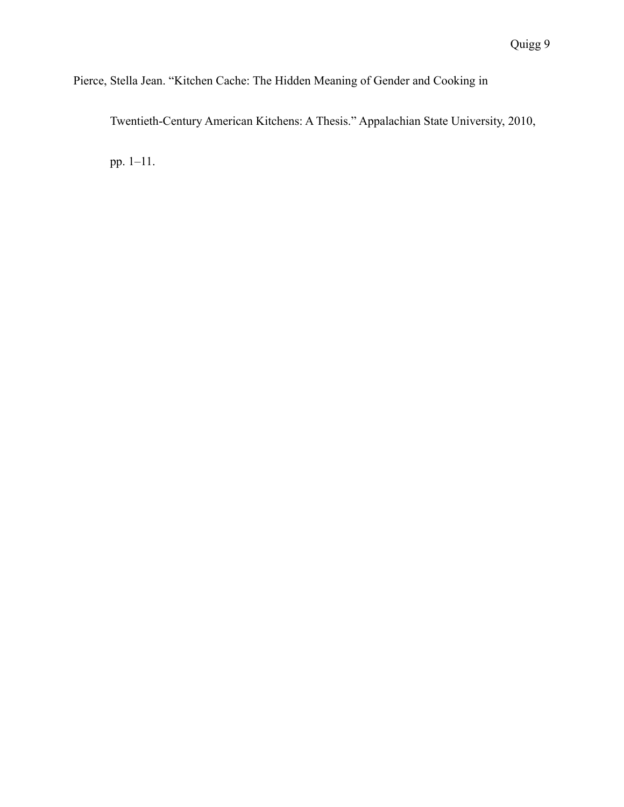## Pierce, Stella Jean. "Kitchen Cache: The Hidden Meaning of Gender and Cooking in

Twentieth-Century American Kitchens: A Thesis." Appalachian State University, 2010,

pp. 1–11.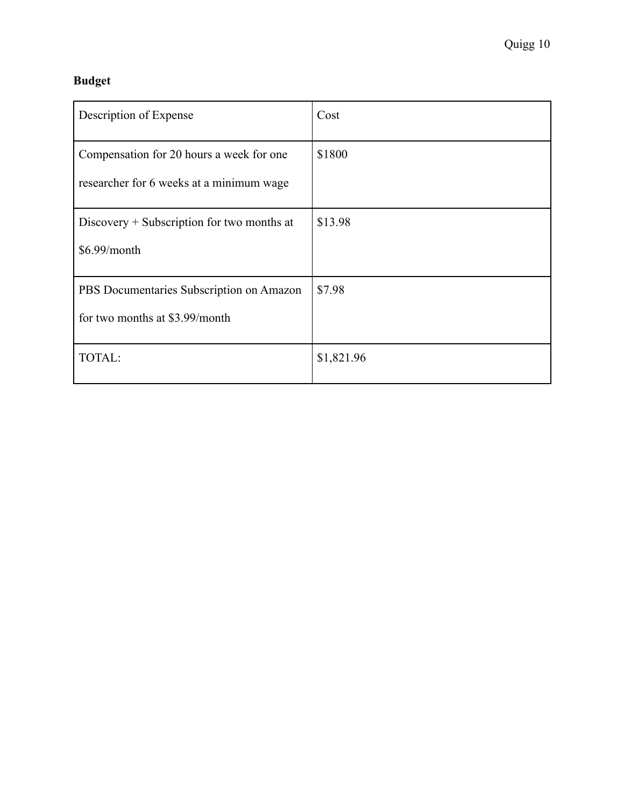# **Budget**

| Description of Expense                                                               | Cost       |
|--------------------------------------------------------------------------------------|------------|
| Compensation for 20 hours a week for one<br>researcher for 6 weeks at a minimum wage | \$1800     |
| Discovery $+$ Subscription for two months at<br>\$6.99/month                         | \$13.98    |
| PBS Documentaries Subscription on Amazon<br>for two months at \$3.99/month           | \$7.98     |
| TOTAL:                                                                               | \$1,821.96 |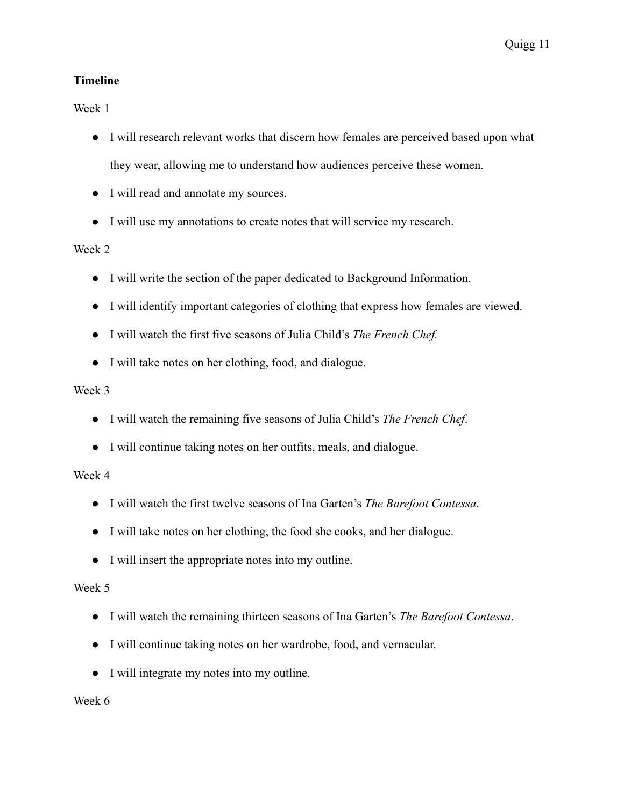## **Timeline**

Week 1

- I will research relevant works that discern how females are perceived based upon what they wear, allowing me to understand how audiences perceive these women.
- I will read and annotate my sources.
- I will use my annotations to create notes that will service my research.

## Week 2

- I will write the section of the paper dedicated to Background Information.
- I will identify important categories of clothing that express how females are viewed.
- I will watch the first five seasons of Julia Child's *The French Chef.*
- I will take notes on her clothing, food, and dialogue.

## Week 3

- I will watch the remaining five seasons of Julia Child's *The French Chef*.
- I will continue taking notes on her outfits, meals, and dialogue.

## Week 4

- I will watch the first twelve seasons of Ina Garten's *The Barefoot Contessa*.
- I will take notes on her clothing, the food she cooks, and her dialogue.
- I will insert the appropriate notes into my outline.

## Week 5

- I will watch the remaining thirteen seasons of Ina Garten's *The Barefoot Contessa*.
- I will continue taking notes on her wardrobe, food, and vernacular.
- I will integrate my notes into my outline.

Week 6